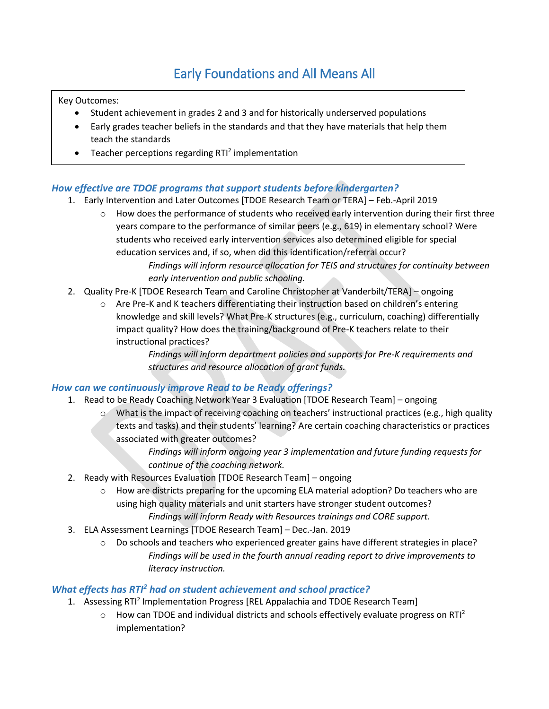## Early Foundations and All Means All

Key Outcomes:

- Student achievement in grades 2 and 3 and for historically underserved populations
- Early grades teacher beliefs in the standards and that they have materials that help them teach the standards
- $\bullet$  Teacher perceptions regarding RTI<sup>2</sup> implementation

#### *How effective are TDOE programs that support students before kindergarten?*

- 1. Early Intervention and Later Outcomes [TDOE Research Team or TERA] Feb.-April 2019
	- $\circ$  How does the performance of students who received early intervention during their first three years compare to the performance of similar peers (e.g., 619) in elementary school? Were students who received early intervention services also determined eligible for special education services and, if so, when did this identification/referral occur? *Findings will inform resource allocation for TEIS and structures for continuity between early intervention and public schooling.*
- 2. Quality Pre-K [TDOE Research Team and Caroline Christopher at Vanderbilt/TERA] ongoing
	- o Are Pre-K and K teachers differentiating their instruction based on children's entering knowledge and skill levels? What Pre-K structures (e.g., curriculum, coaching) differentially impact quality? How does the training/background of Pre-K teachers relate to their instructional practices?

*Findings will inform department policies and supports for Pre-K requirements and structures and resource allocation of grant funds.*

#### *How can we continuously improve Read to be Ready offerings?*

- 1. Read to be Ready Coaching Network Year 3 Evaluation [TDOE Research Team] ongoing
	- o What is the impact of receiving coaching on teachers' instructional practices (e.g., high quality texts and tasks) and their students' learning? Are certain coaching characteristics or practices associated with greater outcomes?

*Findings will inform ongoing year 3 implementation and future funding requests for continue of the coaching network.* 

- 2. Ready with Resources Evaluation [TDOE Research Team] ongoing
	- o How are districts preparing for the upcoming ELA material adoption? Do teachers who are using high quality materials and unit starters have stronger student outcomes? *Findings will inform Ready with Resources trainings and CORE support.*
- 3. ELA Assessment Learnings [TDOE Research Team] Dec.-Jan. 2019
	- o Do schools and teachers who experienced greater gains have different strategies in place? *Findings will be used in the fourth annual reading report to drive improvements to literacy instruction.*

#### *What effects has RTI<sup>2</sup> had on student achievement and school practice?*

- 1. Assessing RTI<sup>2</sup> Implementation Progress [REL Appalachia and TDOE Research Team]
	- $\circ$  How can TDOE and individual districts and schools effectively evaluate progress on RTI<sup>2</sup> implementation?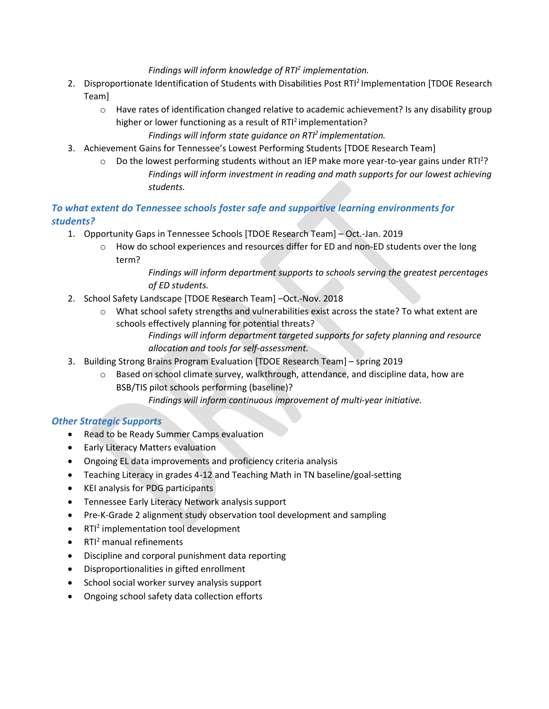*Findings will inform knowledge of RTI<sup>2</sup> implementation.*

- 2. Disproportionate Identification of Students with Disabilities Post RTI<sup>2</sup> Implementation [TDOE Research Team]
	- $\circ$  Have rates of identification changed relative to academic achievement? Is any disability group higher or lower functioning as a result of RTI<sup>2</sup> implementation?

*Findings will inform state guidance on RTI<sup>2</sup>implementation.*

- 3. Achievement Gains for Tennessee's Lowest Performing Students [TDOE Research Team]
	- $\circ$  Do the lowest performing students without an IEP make more year-to-year gains under RTI<sup>2</sup>? *Findings will inform investment in reading and math supports for our lowest achieving students.*

#### *To what extent do Tennessee schools foster safe and supportive learning environments for students?*

- 1. Opportunity Gaps in Tennessee Schools [TDOE Research Team] Oct.-Jan. 2019
	- o How do school experiences and resources differ for ED and non-ED students over the long term?

*Findings will inform department supports to schools serving the greatest percentages of ED students.* 

- 2. School Safety Landscape [TDOE Research Team] –Oct.-Nov. 2018
	- o What school safety strengths and vulnerabilities exist across the state? To what extent are schools effectively planning for potential threats?

*Findings will inform department targeted supports for safety planning and resource allocation and tools for self-assessment.* 

- 3. Building Strong Brains Program Evaluation [TDOE Research Team] spring 2019
	- o Based on school climate survey, walkthrough, attendance, and discipline data, how are BSB/TIS pilot schools performing (baseline)?

*Findings will inform continuous improvement of multi-year initiative.* 

- Read to be Ready Summer Camps evaluation
- Early Literacy Matters evaluation
- Ongoing EL data improvements and proficiency criteria analysis
- Teaching Literacy in grades 4-12 and Teaching Math in TN baseline/goal-setting
- KEI analysis for PDG participants
- Tennessee Early Literacy Network analysis support
- Pre-K-Grade 2 alignment study observation tool development and sampling
- RTI<sup>2</sup> implementation tool development
- $\bullet$  RTI<sup>2</sup> manual refinements
- Discipline and corporal punishment data reporting
- Disproportionalities in gifted enrollment
- School social worker survey analysis support
- Ongoing school safety data collection efforts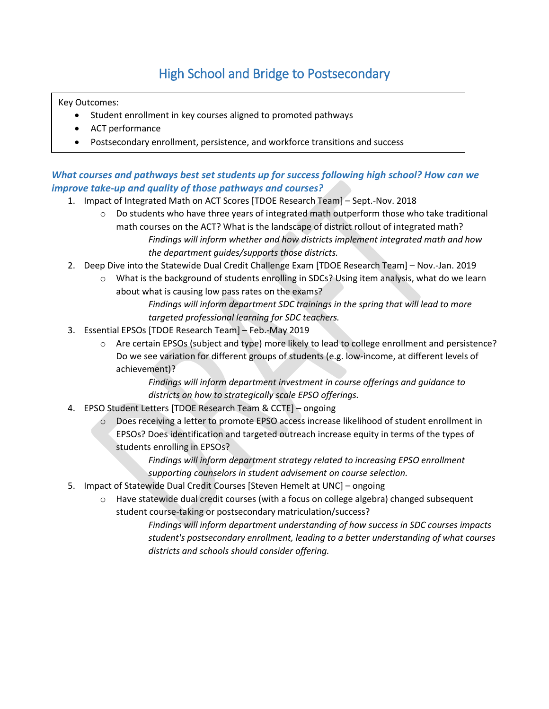# High School and Bridge to Postsecondary

Key Outcomes:

- Student enrollment in key courses aligned to promoted pathways
- ACT performance
- Postsecondary enrollment, persistence, and workforce transitions and success

#### *What courses and pathways best set students up for success following high school? How can we improve take-up and quality of those pathways and courses?*

- 1. Impact of Integrated Math on ACT Scores [TDOE Research Team] Sept.-Nov. 2018
	- $\circ$  Do students who have three years of integrated math outperform those who take traditional math courses on the ACT? What is the landscape of district rollout of integrated math? *Findings will inform whether and how districts implement integrated math and how the department guides/supports those districts.*
- 2. Deep Dive into the Statewide Dual Credit Challenge Exam [TDOE Research Team] Nov.-Jan. 2019
	- o What is the background of students enrolling in SDCs? Using item analysis, what do we learn about what is causing low pass rates on the exams?

*Findings will inform department SDC trainings in the spring that will lead to more targeted professional learning for SDC teachers.*

- 3. Essential EPSOs [TDOE Research Team] Feb.-May 2019
	- o Are certain EPSOs (subject and type) more likely to lead to college enrollment and persistence? Do we see variation for different groups of students (e.g. low-income, at different levels of achievement)?

*Findings will inform department investment in course offerings and guidance to districts on how to strategically scale EPSO offerings.*

- 4. EPSO Student Letters [TDOE Research Team & CCTE] ongoing
	- o Does receiving a letter to promote EPSO access increase likelihood of student enrollment in EPSOs? Does identification and targeted outreach increase equity in terms of the types of students enrolling in EPSOs?

*Findings will inform department strategy related to increasing EPSO enrollment supporting counselors in student advisement on course selection.* 

- 5. Impact of Statewide Dual Credit Courses [Steven Hemelt at UNC] ongoing
	- $\circ$  Have statewide dual credit courses (with a focus on college algebra) changed subsequent student course-taking or postsecondary matriculation/success?

*Findings will inform department understanding of how success in SDC courses impacts student's postsecondary enrollment, leading to a better understanding of what courses districts and schools should consider offering.*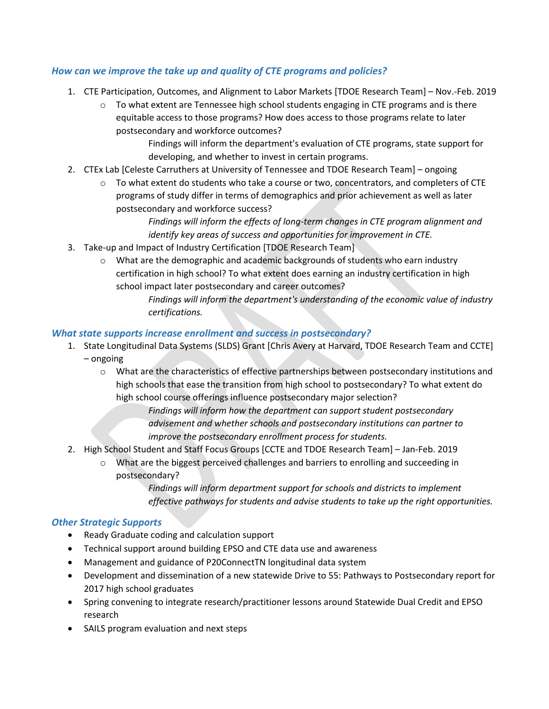#### *How can we improve the take up and quality of CTE programs and policies?*

- 1. CTE Participation, Outcomes, and Alignment to Labor Markets [TDOE Research Team] Nov.-Feb. 2019
	- $\circ$  To what extent are Tennessee high school students engaging in CTE programs and is there equitable access to those programs? How does access to those programs relate to later postsecondary and workforce outcomes?

Findings will inform the department's evaluation of CTE programs, state support for developing, and whether to invest in certain programs.

- 2. CTEx Lab [Celeste Carruthers at University of Tennessee and TDOE Research Team] ongoing
	- $\circ$  To what extent do students who take a course or two, concentrators, and completers of CTE programs of study differ in terms of demographics and prior achievement as well as later postsecondary and workforce success?

*Findings will inform the effects of long-term changes in CTE program alignment and identify key areas of success and opportunities for improvement in CTE.*

- 3. Take-up and Impact of Industry Certification [TDOE Research Team]
	- o What are the demographic and academic backgrounds of students who earn industry certification in high school? To what extent does earning an industry certification in high school impact later postsecondary and career outcomes?

*Findings will inform the department's understanding of the economic value of industry certifications.* 

#### *What state supports increase enrollment and success in postsecondary?*

- 1. State Longitudinal Data Systems (SLDS) Grant [Chris Avery at Harvard, TDOE Research Team and CCTE] – ongoing
	- o What are the characteristics of effective partnerships between postsecondary institutions and high schools that ease the transition from high school to postsecondary? To what extent do high school course offerings influence postsecondary major selection?

*Findings will inform how the department can support student postsecondary advisement and whether schools and postsecondary institutions can partner to improve the postsecondary enrollment process for students.* 

- 2. High School Student and Staff Focus Groups [CCTE and TDOE Research Team] Jan-Feb. 2019
	- What are the biggest perceived challenges and barriers to enrolling and succeeding in postsecondary?

*Findings will inform department support for schools and districts to implement effective pathways for students and advise students to take up the right opportunities.* 

- Ready Graduate coding and calculation support
- Technical support around building EPSO and CTE data use and awareness
- Management and guidance of P20ConnectTN longitudinal data system
- Development and dissemination of a new statewide Drive to 55: Pathways to Postsecondary report for 2017 high school graduates
- Spring convening to integrate research/practitioner lessons around Statewide Dual Credit and EPSO research
- SAILS program evaluation and next steps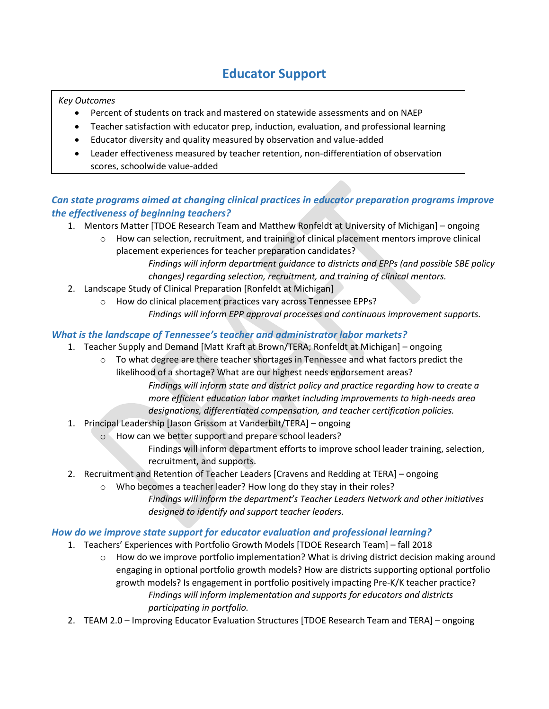### **Educator Support**

#### *Key Outcomes*

- Percent of students on track and mastered on statewide assessments and on NAEP
- Teacher satisfaction with educator prep, induction, evaluation, and professional learning
- Educator diversity and quality measured by observation and value-added
- Leader effectiveness measured by teacher retention, non-differentiation of observation scores, schoolwide value-added

### *Can state programs aimed at changing clinical practices in educator preparation programs improve the effectiveness of beginning teachers?*

- 1. Mentors Matter [TDOE Research Team and Matthew Ronfeldt at University of Michigan] ongoing
	- How can selection, recruitment, and training of clinical placement mentors improve clinical placement experiences for teacher preparation candidates? *Findings will inform department guidance to districts and EPPs (and possible SBE policy*

*changes) regarding selection, recruitment, and training of clinical mentors.* 

- 2. Landscape Study of Clinical Preparation [Ronfeldt at Michigan]
	- o How do clinical placement practices vary across Tennessee EPPs? *Findings will inform EPP approval processes and continuous improvement supports.*

#### *What is the landscape of Tennessee's teacher and administrator labor markets?*

- 1. Teacher Supply and Demand [Matt Kraft at Brown/TERA; Ronfeldt at Michigan] ongoing
	- $\circ$  To what degree are there teacher shortages in Tennessee and what factors predict the likelihood of a shortage? What are our highest needs endorsement areas? *Findings will inform state and district policy and practice regarding how to create a more efficient education labor market including improvements to high-needs area*
	- *designations, differentiated compensation, and teacher certification policies.*
- 1. Principal Leadership [Jason Grissom at Vanderbilt/TERA] ongoing
	- o How can we better support and prepare school leaders?

Findings will inform department efforts to improve school leader training, selection, recruitment, and supports.

- 2. Recruitment and Retention of Teacher Leaders [Cravens and Redding at TERA] ongoing
	- o Who becomes a teacher leader? How long do they stay in their roles?
		- *Findings will inform the department's Teacher Leaders Network and other initiatives designed to identify and support teacher leaders.*

#### *How do we improve state support for educator evaluation and professional learning?*

- 1. Teachers' Experiences with Portfolio Growth Models [TDOE Research Team] fall 2018
	- $\circ$  How do we improve portfolio implementation? What is driving district decision making around engaging in optional portfolio growth models? How are districts supporting optional portfolio growth models? Is engagement in portfolio positively impacting Pre-K/K teacher practice? *Findings will inform implementation and supports for educators and districts participating in portfolio.*
- 2. TEAM 2.0 Improving Educator Evaluation Structures [TDOE Research Team and TERA] ongoing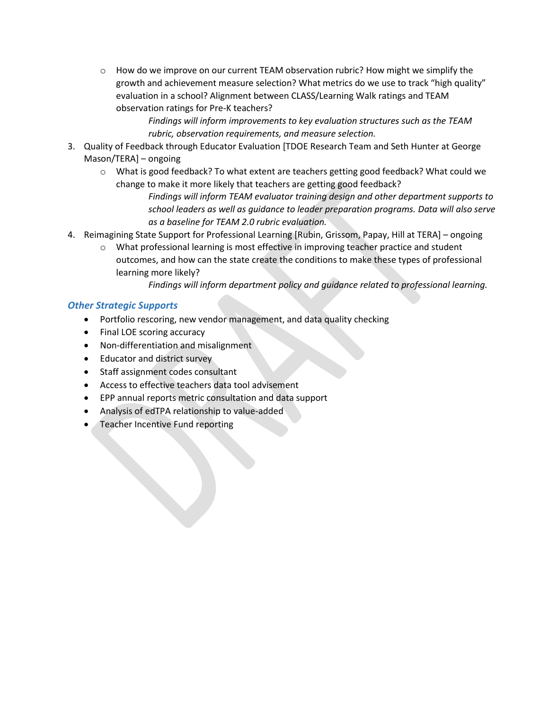$\circ$  How do we improve on our current TEAM observation rubric? How might we simplify the growth and achievement measure selection? What metrics do we use to track "high quality" evaluation in a school? Alignment between CLASS/Learning Walk ratings and TEAM observation ratings for Pre-K teachers?

> *Findings will inform improvements to key evaluation structures such as the TEAM rubric, observation requirements, and measure selection.*

- 3. Quality of Feedback through Educator Evaluation [TDOE Research Team and Seth Hunter at George Mason/TERA] – ongoing
	- o What is good feedback? To what extent are teachers getting good feedback? What could we change to make it more likely that teachers are getting good feedback?

*Findings will inform TEAM evaluator training design and other department supports to school leaders as well as guidance to leader preparation programs. Data will also serve as a baseline for TEAM 2.0 rubric evaluation.* 

- 4. Reimagining State Support for Professional Learning [Rubin, Grissom, Papay, Hill at TERA] ongoing
	- o What professional learning is most effective in improving teacher practice and student outcomes, and how can the state create the conditions to make these types of professional learning more likely?

*Findings will inform department policy and guidance related to professional learning.* 

- Portfolio rescoring, new vendor management, and data quality checking
- Final LOE scoring accuracy
- Non-differentiation and misalignment
- Educator and district survey
- Staff assignment codes consultant
- Access to effective teachers data tool advisement
- EPP annual reports metric consultation and data support
- Analysis of edTPA relationship to value-added
- Teacher Incentive Fund reporting